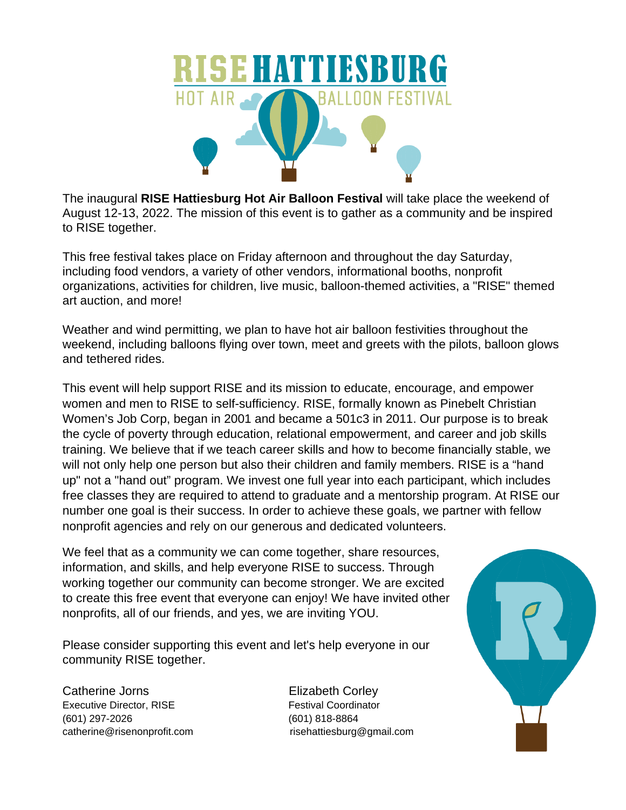

The inaugural **RISE Hattiesburg Hot Air Balloon Festival** will take place the weekend of August 12-13, 2022. The mission of this event is to gather as a community and be inspired to RISE together.

This free festival takes place on Friday afternoon and throughout the day Saturday, including food vendors, a variety of other vendors, informational booths, nonprofit organizations, activities for children, live music, balloon-themed activities, a "RISE" themed art auction, and more!

Weather and wind permitting, we plan to have hot air balloon festivities throughout the weekend, including balloons flying over town, meet and greets with the pilots, balloon glows and tethered rides.

This event will help support RISE and its mission to educate, encourage, and empower women and men to RISE to self-sufficiency. RISE, formally known as Pinebelt Christian Women's Job Corp, began in 2001 and became a 501c3 in 2011. Our purpose is to break the cycle of poverty through education, relational empowerment, and career and job skills training. We believe that if we teach career skills and how to become financially stable, we will not only help one person but also their children and family members. RISE is a "hand up" not a "hand out" program. We invest one full year into each participant, which includes free classes they are required to attend to graduate and a mentorship program. At RISE our number one goal is their success. In order to achieve these goals, we partner with fellow nonprofit agencies and rely on our generous and dedicated volunteers.

We feel that as a community we can come together, share resources, information, and skills, and help everyone RISE to success. Through working together our community can become stronger. We are excited to create this free event that everyone can enjoy! We have invited other nonprofits, all of our friends, and yes, we are inviting YOU.

Please consider supporting this event and let's help everyone in our community RISE together.

Catherine Jorns **Elizabeth Corley** Executive Director, RISE Festival Coordinator (601) 297-2026 (601) 818-8864 catherine@risenonprofit.com risehattiesburg@gmail.com